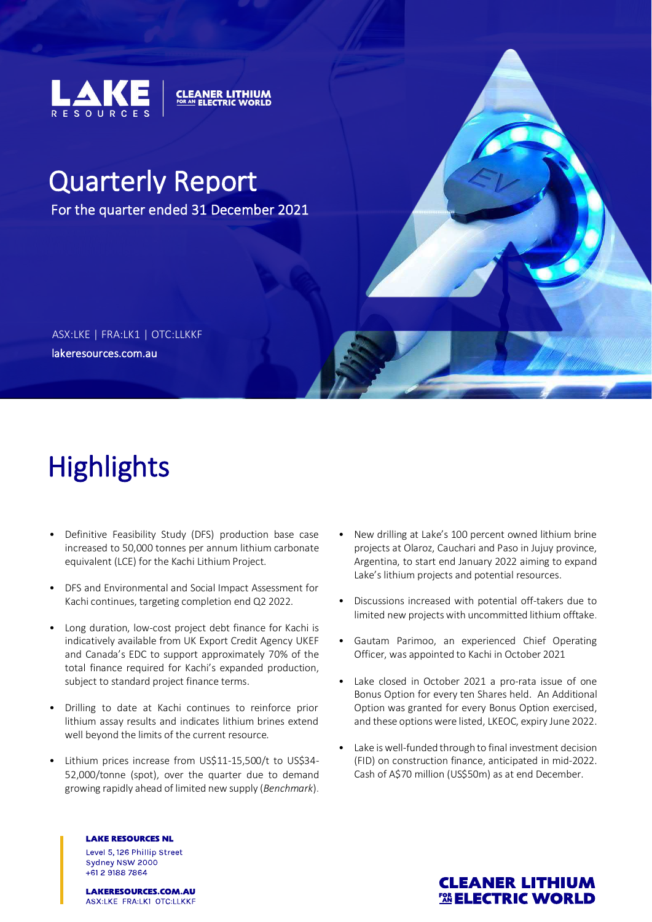

# Quarterly Report

For the quarter ended 31 December 2021

**CLEANER LITHIUM** 

lakeresources.com.au ASX:LKE | FRA:LK1 | OTC:LLKKF

# **Highlights**

- Definitive Feasibility Study (DFS) production base case increased to 50,000 tonnes per annum lithium carbonate equivalent (LCE) for the Kachi Lithium Project.
- DFS and Environmental and Social Impact Assessment for Kachi continues, targeting completion end Q2 2022.
- Long duration, low-cost project debt finance for Kachi is indicatively available from UK Export Credit Agency UKEF and Canada's EDC to support approximately 70% of the total finance required for Kachi's expanded production, subject to standard project finance terms.
- Drilling to date at Kachi continues to reinforce prior lithium assay results and indicates lithium brines extend well beyond the limits of the current resource.
- Lithium prices increase from US\$11-15,500/t to US\$34- 52,000/tonne (spot), over the quarter due to demand growing rapidly ahead of limited new supply (*Benchmark*).
	- **LAKE RESOURCES NL** Level 5, 126 Phillip Street Sydney NSW 2000 +61 2 9188 7864
- New drilling at Lake's 100 percent owned lithium brine projects at Olaroz, Cauchari and Paso in Jujuy province, Argentina, to start end January 2022 aiming to expand Lake's lithium projects and potential resources.
- Discussions increased with potential off-takers due to limited new projects with uncommitted lithium offtake.
- Gautam Parimoo, an experienced Chief Operating Officer, was appointed to Kachi in October 2021
- Lake closed in October 2021 a pro-rata issue of one Bonus Option for every ten Shares held. An Additional Option was granted for every Bonus Option exercised, and these options were listed, LKEOC, expiry June 2022.
- Lake is well-funded through to final investment decision (FID) on construction finance, anticipated in mid-2022. Cash of A\$70 million (US\$50m) as at end December.



LAKERESOURCES.COM.AU ASX:LKE FRA:LK1 OTC:LLKKF

### **CLEANER LITHIUM** *FASELECTRIC WORLD*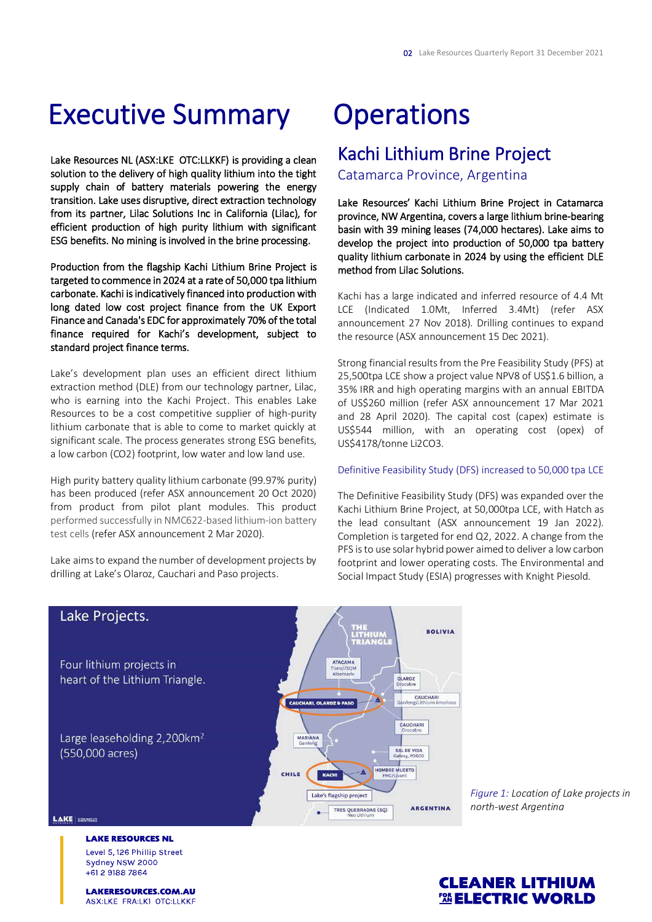# Executive Summary

Lake Resources NL (ASX:LKE OTC:LLKKF) is providing a clean solution to the delivery of high quality lithium into the tight supply chain of battery materials powering the energy transition. Lake uses disruptive, direct extraction technology from its partner, Lilac Solutions Inc in California (Lilac), for efficient production of high purity lithium with significant ESG benefits. No mining is involved in the brine processing.

Production from the flagship Kachi Lithium Brine Project is targeted to commence in 2024 at a rate of 50,000 tpa lithium carbonate. Kachi is indicatively financed into production with long dated low cost project finance from the UK Export Finance and Canada's EDC for approximately 70% of the total finance required for Kachi's development, subject to standard project finance terms.

Lake's development plan uses an efficient direct lithium extraction method (DLE) from our technology partner, Lilac, who is earning into the Kachi Project. This enables Lake Resources to be a cost competitive supplier of high-purity lithium carbonate that is able to come to market quickly at significant scale. The process generates strong ESG benefits, a low carbon (CO2) footprint, low water and low land use.

High purity battery quality lithium carbonate (99.97% purity) has been produced (refer ASX announcement 20 Oct 2020) from product from pilot plant modules. This product performed successfully in NMC622-based lithium-ion battery test cells (refer ASX announcement 2 Mar 2020).

Lake aims to expand the number of development projects by drilling at Lake's Olaroz, Cauchari and Paso projects.

# **Operations**

### Kachi Lithium Brine Project

Catamarca Province, Argentina

Lake Resources' Kachi Lithium Brine Project in Catamarca province, NW Argentina, covers a large lithium brine-bearing basin with 39 mining leases (74,000 hectares). Lake aims to develop the project into production of 50,000 tpa battery quality lithium carbonate in 2024 by using the efficient DLE method from Lilac Solutions.

Kachi has a large indicated and inferred resource of 4.4 Mt LCE (Indicated 1.0Mt, Inferred 3.4Mt) (refer ASX announcement 27 Nov 2018). Drilling continues to expand the resource (ASX announcement 15 Dec 2021).

Strong financial results from the Pre Feasibility Study (PFS) at 25,500tpa LCE show a project value NPV8 of US\$1.6 billion, a 35% IRR and high operating margins with an annual EBITDA of US\$260 million (refer ASX announcement 17 Mar 2021 and 28 April 2020). The capital cost (capex) estimate is US\$544 million, with an operating cost (opex) of US\$4178/tonne Li2CO3.

#### Definitive Feasibility Study (DFS) increased to 50,000 tpa LCE

The Definitive Feasibility Study (DFS) was expanded over the Kachi Lithium Brine Project, at 50,000tpa LCE, with Hatch as the lead consultant (ASX announcement 19 Jan 2022). Completion is targeted for end Q2, 2022. A change from the PFS is to use solar hybrid power aimed to deliver a low carbon footprint and lower operating costs. The Environmental and Social Impact Study (ESIA) progresses with Knight Piesold.



*Figure 1: Location of Lake projects in north-west Argentina*

**LAKE RESOURCES NL** Level 5, 126 Phillip Street Sydney NSW 2000 +61 2 9188 7864

**LAKERESOURCES.COM.AU** ASX:LKE FRA:LK1 OTC:LLKKF

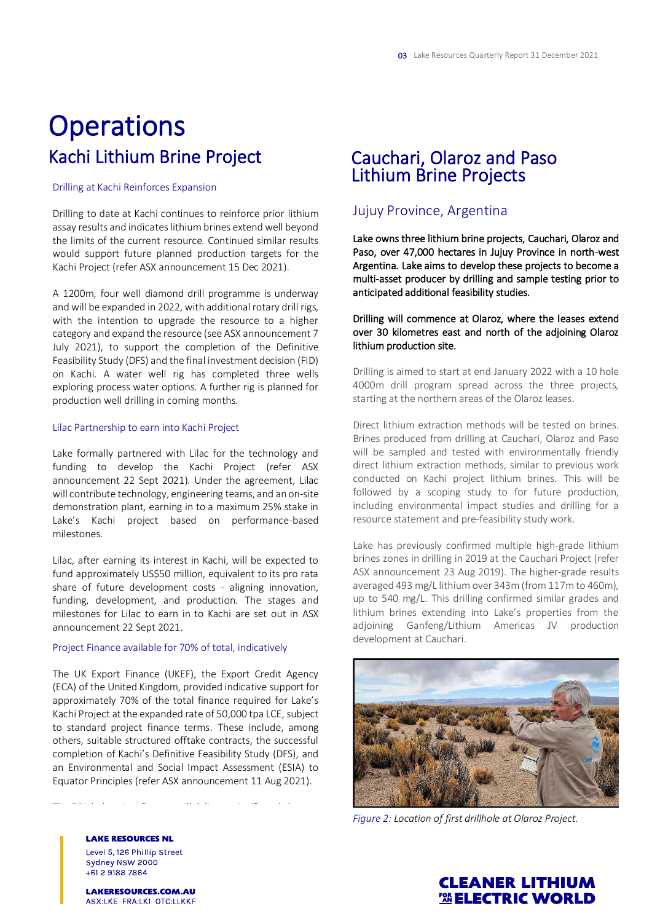# **Operations** Kachi Lithium Brine Project

#### Drilling at Kachi Reinforces Expansion

Drilling to date at Kachi continues to reinforce prior lithium assay results and indicates lithium brines extend well beyond the limits of the current resource. Continued similar results would support future planned production targets for the Kachi Project (refer ASX announcement 15 Dec 2021).

A 1200m, four well diamond drill programme is underway and will be expanded in 2022, with additional rotary drill rigs, with the intention to upgrade the resource to a higher category and expand the resource (see ASX announcement 7 July 2021), to support the completion of the Definitive Feasibility Study (DFS) and the final investment decision (FID) on Kachi. A water well rig has completed three wells exploring process water options. A further rig is planned for production well drilling in coming months.

#### Lilac Partnership to earn into Kachi Project

Lake formally partnered with Lilac for the technology and funding to develop the Kachi Project (refer ASX announcement 22 Sept 2021). Under the agreement, Lilac will contribute technology, engineering teams, and an on-site demonstration plant, earning in to a maximum 25% stake in Lake's Kachi project based on performance-based milestones.

Lilac, after earning its interest in Kachi, will be expected to fund approximately US\$50 million, equivalent to its pro rata share of future development costs - aligning innovation, funding, development, and production. The stages and milestones for Lilac to earn in to Kachi are set out in ASX announcement 22 Sept 2021.

#### Project Finance available for 70% of total, indicatively

The UK Export Finance (UKEF), the Export Credit Agency (ECA) of the United Kingdom, provided indicative support for approximately 70% of the total finance required for Lake's Kachi Project at the expanded rate of 50,000 tpa LCE, subject to standard project finance terms. These include, among others, suitable structured offtake contracts, the successful completion of Kachi's Definitive Feasibility Study (DFS), and an Environmental and Social Impact Assessment (ESIA) to Equator Principles (refer ASX announcement 11 Aug 2021).

The ECA led project finance will deliver a significant lower and the economic lower and the economic lower and<br>The ECA led project finance will deliver a significant lower and the economic lower and the economic lower and

### Cauchari, Olaroz and Paso Lithium Brine Projects

### Jujuy Province, Argentina

Lake owns three lithium brine projects, Cauchari, Olaroz and Paso, over 47,000 hectares in Jujuy Province in north-west Argentina. Lake aims to develop these projects to become a multi-asset producer by drilling and sample testing prior to anticipated additional feasibility studies.

#### Drilling will commence at Olaroz, where the leases extend over 30 kilometres east and north of the adjoining Olaroz lithium production site.

Drilling is aimed to start at end January 2022 with a 10 hole 4000m drill program spread across the three projects, starting at the northern areas of the Olaroz leases.

Direct lithium extraction methods will be tested on brines. Brines produced from drilling at Cauchari, Olaroz and Paso will be sampled and tested with environmentally friendly direct lithium extraction methods, similar to previous work conducted on Kachi project lithium brines. This will be followed by a scoping study to for future production, including environmental impact studies and drilling for a resource statement and pre-feasibility study work.

Lake has previously confirmed multiple high-grade lithium brines zones in drilling in 2019 at the Cauchari Project (refer ASX announcement 23 Aug 2019). The higher-grade results averaged 493 mg/L lithium over 343m (from 117m to 460m), up to 540 mg/L. This drilling confirmed similar grades and lithium brines extending into Lake's properties from the adjoining Ganfeng/Lithium Americas JV production development at Cauchari.



*Figure 2: Location of first drillhole at Olaroz Project.*

**LAKE RESOURCES NL** Level 5, 126 Phillip Street Sydney NSW 2000 +61 2 9188 7864

LAKERESOURCES.COM.AU ASX:LKE FRA:LK1 OTC:LLKKF

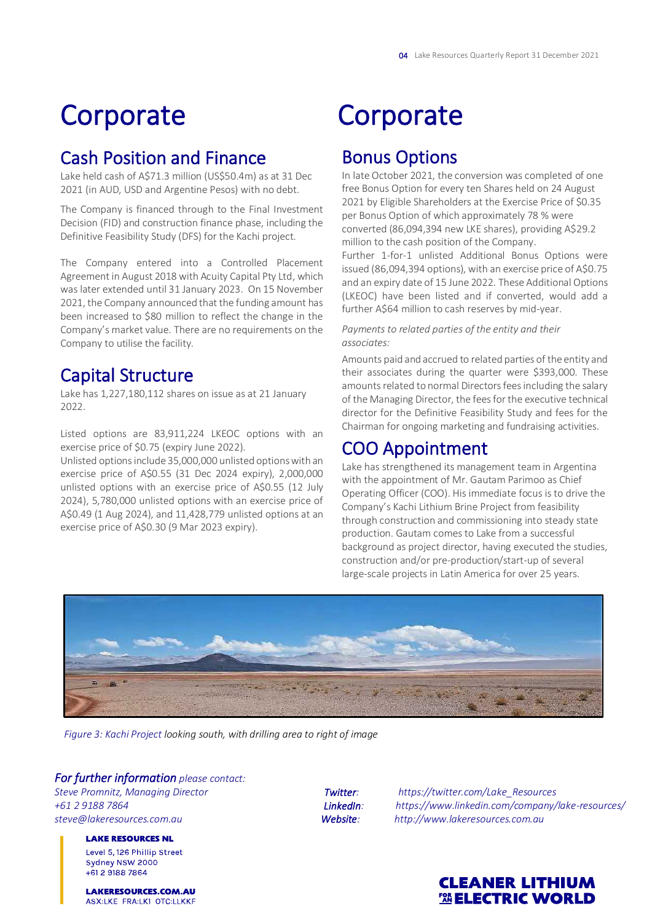# **Corporate**

## Cash Position and Finance

Lake held cash of A\$71.3 million (US\$50.4m) as at 31 Dec 2021 (in AUD, USD and Argentine Pesos) with no debt.

The Company is financed through to the Final Investment Decision (FID) and construction finance phase, including the Definitive Feasibility Study (DFS) for the Kachi project.

The Company entered into a Controlled Placement Agreement in August 2018 with Acuity Capital Pty Ltd, which was later extended until 31 January 2023. On 15 November 2021, the Company announced that the funding amount has been increased to \$80 million to reflect the change in the Company's market value. There are no requirements on the Company to utilise the facility.

## Capital Structure

Lake has 1,227,180,112 shares on issue as at 21 January 2022.

Listed options are 83,911,224 LKEOC options with an exercise price of \$0.75 (expiry June 2022).

Unlisted options include 35,000,000 unlisted options with an exercise price of A\$0.55 (31 Dec 2024 expiry), 2,000,000 unlisted options with an exercise price of A\$0.55 (12 July 2024), 5,780,000 unlisted options with an exercise price of A\$0.49 (1 Aug 2024), and 11,428,779 unlisted options at an exercise price of A\$0.30 (9 Mar 2023 expiry).

# **Corporate**

## Bonus Options

In late October 2021, the conversion was completed of one free Bonus Option for every ten Shares held on 24 August 2021 by Eligible Shareholders at the Exercise Price of \$0.35 per Bonus Option of which approximately 78 % were converted (86,094,394 new LKE shares), providing A\$29.2 million to the cash position of the Company.

Further 1-for-1 unlisted Additional Bonus Options were issued (86,094,394 options), with an exercise price of A\$0.75 and an expiry date of 15 June 2022. These Additional Options (LKEOC) have been listed and if converted, would add a further A\$64 million to cash reserves by mid-year.

#### *Payments to related parties of the entity and their associates:*

Amounts paid and accrued to related parties of the entity and their associates during the quarter were \$393,000. These amounts related to normal Directors fees including the salary of the Managing Director, the fees for the executive technical director for the Definitive Feasibility Study and fees for the Chairman for ongoing marketing and fundraising activities.

## COO Appointment

Lake has strengthened its management team in Argentina with the appointment of Mr. Gautam Parimoo as Chief Operating Officer (COO). His immediate focus is to drive the Company's Kachi Lithium Brine Project from feasibility through construction and commissioning into steady state production. Gautam comes to Lake from a successful background as project director, having executed the studies, construction and/or pre-production/start-up of several large-scale projects in Latin America for over 25 years.



*Figure 3: Kachi Project looking south, with drilling area to right of image*

#### *For further information please contact:*

**LAKE RESOURCES NL** Level 5, 126 Phillip Street Sydney NSW 2000 +61 2 9188 7864

LAKERESOURCES.COM.AU ASX:LKE FRA:LK1 OTC:LLKKF

*Steve Promnitz, Managing Director Twitter: https://twitter.com/Lake\_Resources +61 2 9188 7864 LinkedIn: https://www.linkedin.com/company/lake-resources/* Website: http://www.lakeresources.com.au

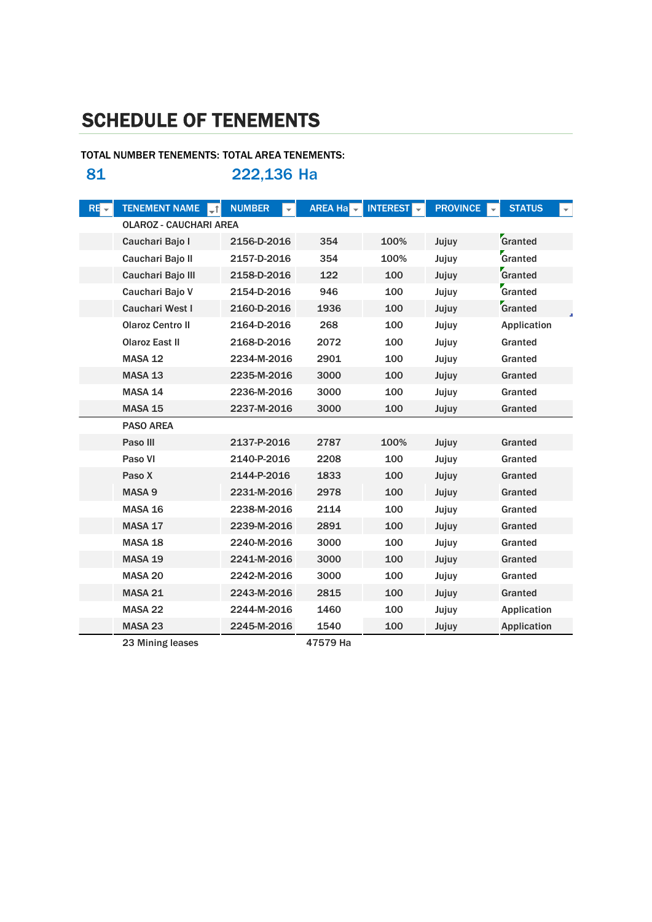# SCHEDULE OF TENEMENTS

### TOTAL NUMBER TENEMENTS: TOTAL AREA TENEMENTS: 81 222,136 Ha

| $RE -$ | <b>TENEMENT NAME</b>          | <b>NUMBER</b> | <b>AREA Ha</b> | <b>INTEREST</b> | <b>PROVINCE</b> | <b>STATUS</b><br>$\overline{\phantom{0}}$ |
|--------|-------------------------------|---------------|----------------|-----------------|-----------------|-------------------------------------------|
|        | <b>OLAROZ - CAUCHARI AREA</b> |               |                |                 |                 |                                           |
|        | Cauchari Bajo I               | 2156-D-2016   | 354            | 100%            | Jujuy           | Granted                                   |
|        | Cauchari Bajo II              | 2157-D-2016   | 354            | 100%            | Jujuy           | Granted                                   |
|        | Cauchari Bajo III             | 2158-D-2016   | 122            | 100             | Jujuy           | Granted                                   |
|        | Cauchari Bajo V               | 2154-D-2016   | 946            | 100             | Jujuy           | Granted                                   |
|        | <b>Cauchari West I</b>        | 2160-D-2016   | 1936           | 100             | Jujuy           | Granted                                   |
|        | <b>Olaroz Centro II</b>       | 2164-D-2016   | 268            | 100             | Jujuy           | Application                               |
|        | <b>Olaroz East II</b>         | 2168-D-2016   | 2072           | 100             | Jujuy           | Granted                                   |
|        | <b>MASA 12</b>                | 2234-M-2016   | 2901           | 100             | Jujuy           | Granted                                   |
|        | MASA 13                       | 2235-M-2016   | 3000           | 100             | Jujuy           | Granted                                   |
|        | MASA 14                       | 2236-M-2016   | 3000           | 100             | Jujuy           | Granted                                   |
|        | MASA 15                       | 2237-M-2016   | 3000           | 100             | Jujuy           | Granted                                   |
|        | <b>PASO AREA</b>              |               |                |                 |                 |                                           |
|        | Paso III                      | 2137-P-2016   | 2787           | 100%            | Jujuy           | Granted                                   |
|        | Paso VI                       | 2140-P-2016   | 2208           | 100             | Jujuy           | Granted                                   |
|        | Paso X                        | 2144-P-2016   | 1833           | 100             | Jujuy           | Granted                                   |
|        | MASA <sub>9</sub>             | 2231-M-2016   | 2978           | 100             | Jujuy           | Granted                                   |
|        | MASA 16                       | 2238-M-2016   | 2114           | 100             | Jujuy           | Granted                                   |
|        | MASA 17                       | 2239-M-2016   | 2891           | 100             | Jujuy           | Granted                                   |
|        | <b>MASA 18</b>                | 2240-M-2016   | 3000           | 100             | Jujuy           | Granted                                   |
|        | MASA 19                       | 2241-M-2016   | 3000           | 100             | Jujuy           | Granted                                   |
|        | MASA 20                       | 2242-M-2016   | 3000           | 100             | Jujuy           | Granted                                   |
|        | <b>MASA 21</b>                | 2243-M-2016   | 2815           | 100             | Jujuy           | Granted                                   |
|        | MASA 22                       | 2244-M-2016   | 1460           | 100             | Jujuy           | Application                               |
|        | MASA <sub>23</sub>            | 2245-M-2016   | 1540           | 100             | Jujuy           | Application                               |

23 Mining leases 47579 Ha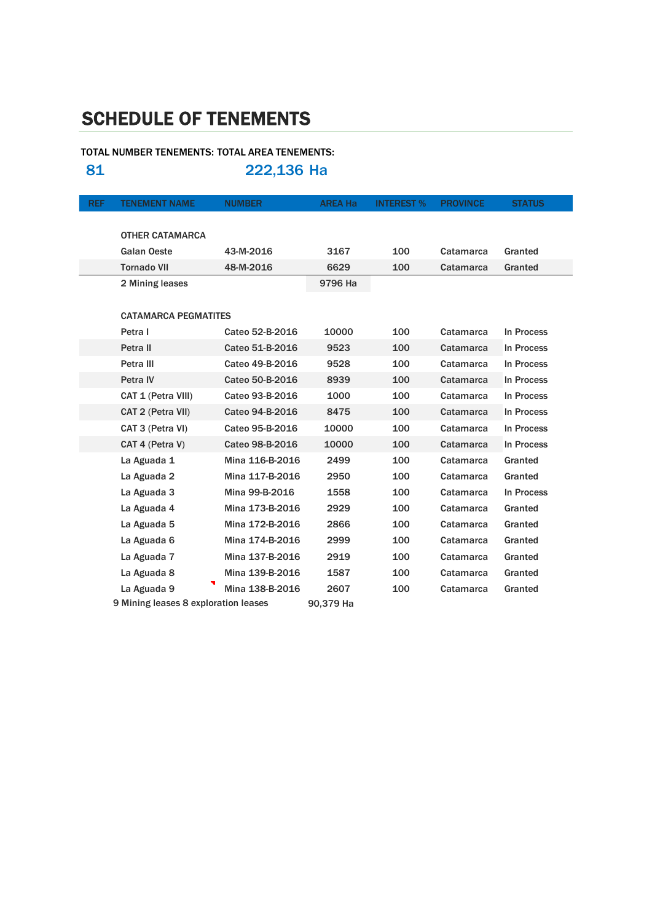# SCHEDULE OF TENEMENTS

### TOTAL NUMBER TENEMENTS: TOTAL AREA TENEMENTS: 81 222,136 Ha

REF TENEMENT NAME NUMBER AREA Ha INTEREST % PROVINCE STATUS OTHER CATAMARCA Galan Oeste **43-M-2016** 3167 100 Catamarca Granted Tornado VII 48-M-2016 6629 100 Catamarca Granted 2 Mining leases 9796 Ha CATAMARCA PEGMATITES Petra I Cateo 52-B-2016 10000 100 Catamarca In Process Petra II Cateo 51-B-2016 9523 100 Catamarca In Process Petra III Cateo 49-B-2016 9528 100 Catamarca In Process Petra IV **Cateo 50-B-2016** 8939 100 Catamarca In Process CAT 1 (Petra VIII) Cateo 93-B-2016 1000 100 Catamarca In Process CAT 2 (Petra VII) Cateo 94-B-2016 8475 100 Catamarca In Process CAT 3 (Petra VI) Cateo 95-B-2016 10000 100 Catamarca In Process CAT 4 (Petra V) Cateo 98-B-2016 10000 100 Catamarca In Process La Aguada 1 Mina 116-B-2016 2499 100 Catamarca Granted La Aguada 2 Mina 117-B-2016 2950 100 Catamarca Granted La Aguada 3 Mina 99-B-2016 1558 100 Catamarca In Process La Aguada 4 Mina 173-B-2016 2929 100 Catamarca Granted La Aguada 5 Mina 172-B-2016 2866 100 Catamarca Granted La Aguada 6 Mina 174-B-2016 2999 100 Catamarca Granted La Aguada 7 Mina 137-B-2016 2919 100 Catamarca Granted La Aguada 8 Mina 139-B-2016 1587 100 Catamarca Granted La Aguada 9 Mina 138-B-2016 2607 100 Catamarca Granted 9 Mining leases 8 exploration leases 90,379 Ha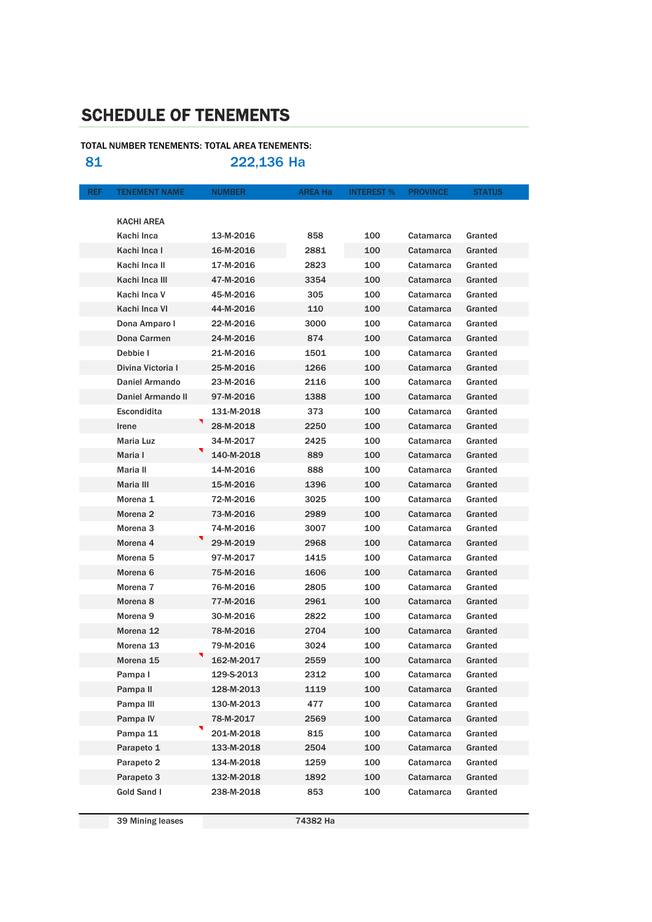# SCHEDULE OF TENEMENTS

#### TOTAL NUMBER TENEMENTS: TOTAL AREA TENEMENTS:

81 222,136 Ha

| <b>REF</b> | <b>TENEMENT NAME</b>     | <b>NUMBER</b> | <b>AREA Ha</b> | <b>INTEREST %</b> | <b>PROVINCE</b> | <b>STATUS</b> |
|------------|--------------------------|---------------|----------------|-------------------|-----------------|---------------|
|            |                          |               |                |                   |                 |               |
|            | <b>KACHI AREA</b>        |               |                |                   |                 |               |
|            | Kachi Inca               | 13-M-2016     | 858            | 100               | Catamarca       | Granted       |
|            | Kachi Inca I             | 16-M-2016     | 2881           | 100               | Catamarca       | Granted       |
|            | Kachi Inca II            | 17-M-2016     | 2823           | 100               | Catamarca       | Granted       |
|            | Kachi Inca III           | 47-M-2016     | 3354           | 100               | Catamarca       | Granted       |
|            | Kachi Inca V             | 45-M-2016     | 305            | 100               | Catamarca       | Granted       |
|            | Kachi Inca VI            | 44-M-2016     | 110            | 100               | Catamarca       | Granted       |
|            | Dona Amparo I            | 22-M-2016     | 3000           | 100               | Catamarca       | Granted       |
|            | Dona Carmen              | 24-M-2016     | 874            | 100               | Catamarca       | Granted       |
|            | Debbie I                 | 21-M-2016     | 1501           | 100               | Catamarca       | Granted       |
|            | Divina Victoria I        | 25-M-2016     | 1266           | 100               | Catamarca       | Granted       |
|            | Daniel Armando           | 23-M-2016     | 2116           | 100               | Catamarca       | Granted       |
|            | <b>Daniel Armando II</b> | 97-M-2016     | 1388           | 100               | Catamarca       | Granted       |
|            | <b>Escondidita</b>       | 131-M-2018    | 373            | 100               | Catamarca       | Granted       |
|            | Irene                    | 28-M-2018     | 2250           | 100               | Catamarca       | Granted       |
|            | <b>Maria Luz</b>         | 34-M-2017     | 2425           | 100               | Catamarca       | Granted       |
|            | Maria I                  | 140-M-2018    | 889            | 100               | Catamarca       | Granted       |
|            | Maria II                 | 14-M-2016     | 888            | 100               | Catamarca       | Granted       |
|            | Maria III                | 15-M-2016     | 1396           | 100               | Catamarca       | Granted       |
|            | Morena 1                 | 72-M-2016     | 3025           | 100               | Catamarca       | Granted       |
|            | Morena <sub>2</sub>      | 73-M-2016     | 2989           | 100               | Catamarca       | Granted       |
|            | Morena <sub>3</sub>      | 74-M-2016     | 3007           | 100               | Catamarca       | Granted       |
|            | Morena 4                 | 29-M-2019     | 2968           | 100               | Catamarca       | Granted       |
|            | Morena 5                 | 97-M-2017     | 1415           | 100               | Catamarca       | Granted       |
|            | Morena <sub>6</sub>      | 75-M-2016     | 1606           | 100               | Catamarca       | Granted       |
|            | Morena <sub>7</sub>      | 76-M-2016     | 2805           | 100               | Catamarca       | Granted       |
|            | Morena <sub>8</sub>      | 77-M-2016     | 2961           | 100               | Catamarca       | Granted       |
|            | Morena <sub>9</sub>      | 30-M-2016     | 2822           | 100               | Catamarca       | Granted       |
|            | Morena 12                | 78-M-2016     | 2704           | 100               | Catamarca       | Granted       |
|            | Morena <sub>13</sub>     | 79-M-2016     | 3024           | 100               | Catamarca       | Granted       |
|            | Morena 15                | 162-M-2017    | 2559           | 100               | Catamarca       | Granted       |
|            | Pampa I                  | 129-S-2013    | 2312           | 100               | Catamarca       | Granted       |
|            | Pampa II                 | 128-M-2013    | 1119           | 100               | Catamarca       | Granted       |
|            | Pampa III                | 130-M-2013    | 477            | 100               | Catamarca       | Granted       |
|            | Pampa IV                 | 78-M-2017     | 2569           | 100               | Catamarca       | Granted       |
|            | Pampa 11                 | 201-M-2018    | 815            | 100               | Catamarca       | Granted       |
|            | Parapeto 1               | 133-M-2018    | 2504           | 100               | Catamarca       | Granted       |
|            | Parapeto 2               | 134-M-2018    | 1259           | 100               | Catamarca       | Granted       |
|            | Parapeto 3               | 132-M-2018    | 1892           | 100               | Catamarca       | Granted       |
|            | Gold Sand I              | 238-M-2018    | 853            | 100               | Catamarca       | Granted       |

39 Mining leases 74382 Ha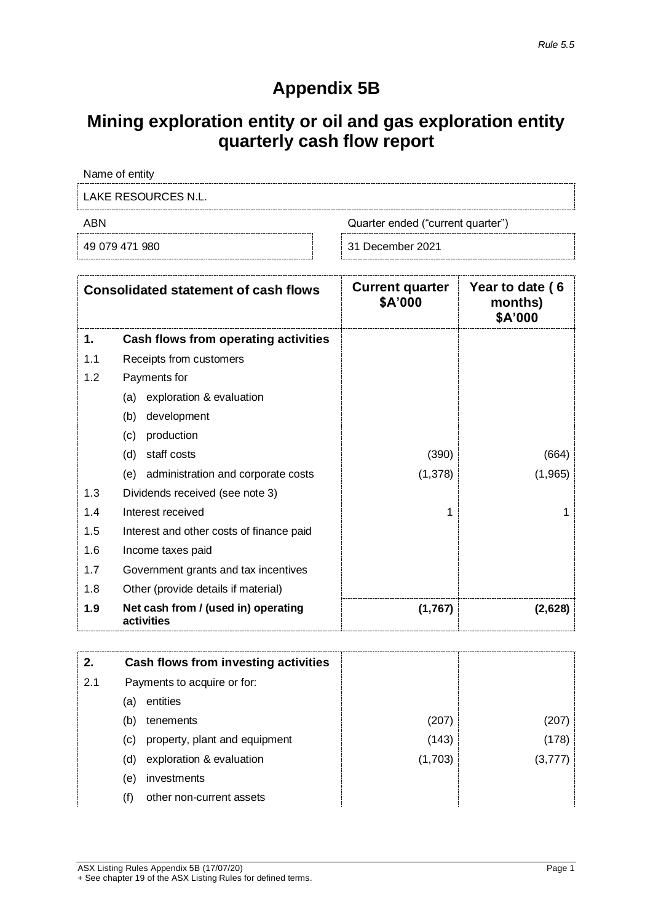# **Appendix 5B**

# **Mining exploration entity or oil and gas exploration entity quarterly cash flow report**

Name of entity

LAKE RESOURCES N.L.

ABN Quarter ended ("current quarter")

49 079 471 980 31 December 2021

|     | <b>Consolidated statement of cash flows</b>       | <b>Current quarter</b><br>\$A'000 | Year to date (6<br>months)<br>\$A'000 |
|-----|---------------------------------------------------|-----------------------------------|---------------------------------------|
| 1.  | Cash flows from operating activities              |                                   |                                       |
| 1.1 | Receipts from customers                           |                                   |                                       |
| 1.2 | Payments for                                      |                                   |                                       |
|     | exploration & evaluation<br>(a)                   |                                   |                                       |
|     | (b)<br>development                                |                                   |                                       |
|     | production<br>(c)                                 |                                   |                                       |
|     | staff costs<br>(d)                                | (390)                             | (664)                                 |
|     | (e) administration and corporate costs            | (1, 378)                          | (1,965)                               |
| 1.3 | Dividends received (see note 3)                   |                                   |                                       |
| 1.4 | Interest received                                 | 1                                 | 1                                     |
| 1.5 | Interest and other costs of finance paid          |                                   |                                       |
| 1.6 | Income taxes paid                                 |                                   |                                       |
| 1.7 | Government grants and tax incentives              |                                   |                                       |
| 1.8 | Other (provide details if material)               |                                   |                                       |
| 1.9 | Net cash from / (used in) operating<br>activities | (1,767)                           | (2,628)                               |

| 2.  | Cash flows from investing activities |         |         |
|-----|--------------------------------------|---------|---------|
| 2.1 | Payments to acquire or for:          |         |         |
|     | entities<br>(a)                      |         |         |
|     | (b)<br>tenements                     | (207)   | (207)   |
|     | property, plant and equipment<br>(c) | (143)   | (178)   |
|     | exploration & evaluation<br>(d)      | (1,703) | (3,777) |
|     | investments<br>(e)                   |         |         |
|     | other non-current assets<br>(f)      |         |         |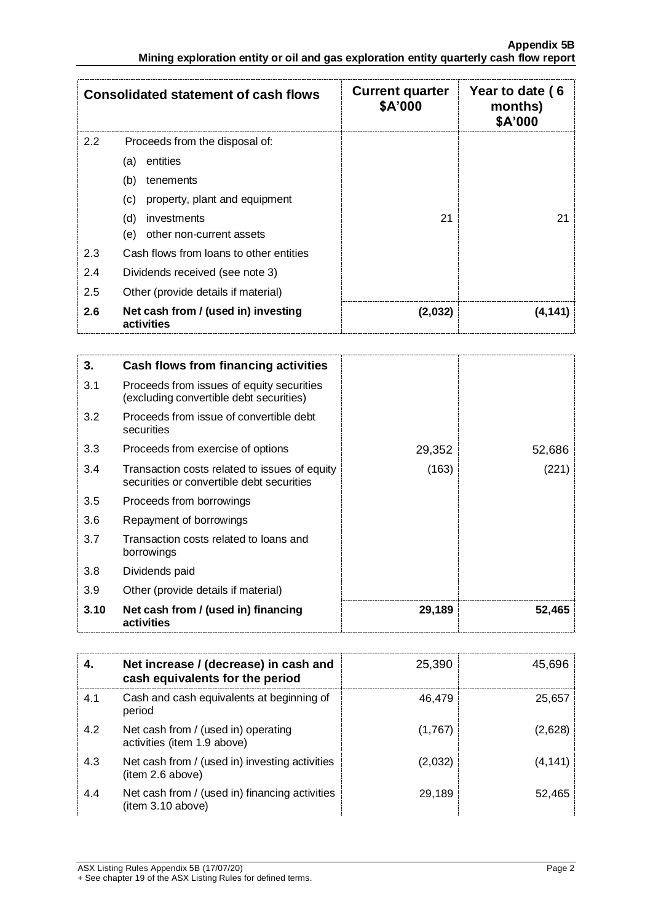|     | <b>Consolidated statement of cash flows</b>       | <b>Current quarter</b><br>\$A'000 | Year to date (6<br>months)<br>\$A'000 |
|-----|---------------------------------------------------|-----------------------------------|---------------------------------------|
| 2.2 | Proceeds from the disposal of:                    |                                   |                                       |
|     | entities<br>(a)                                   |                                   |                                       |
|     | (b)<br>tenements                                  |                                   |                                       |
|     | property, plant and equipment<br>(c)              |                                   |                                       |
|     | (d)<br>investments                                | 21                                | 21                                    |
|     | other non-current assets<br>(e)                   |                                   |                                       |
| 2.3 | Cash flows from loans to other entities           |                                   |                                       |
| 2.4 | Dividends received (see note 3)                   |                                   |                                       |
| 2.5 | Other (provide details if material)               |                                   |                                       |
| 2.6 | Net cash from / (used in) investing<br>activities | (2,032)                           | (4,141)                               |

| 3.   | Cash flows from financing activities                                                       |        |        |
|------|--------------------------------------------------------------------------------------------|--------|--------|
| 3.1  | Proceeds from issues of equity securities<br>(excluding convertible debt securities)       |        |        |
| 3.2  | Proceeds from issue of convertible debt<br>securities                                      |        |        |
| 3.3  | Proceeds from exercise of options                                                          | 29,352 | 52,686 |
| 3.4  | Transaction costs related to issues of equity<br>securities or convertible debt securities | (163)  | (221)  |
| 3.5  | Proceeds from borrowings                                                                   |        |        |
| 3.6  | Repayment of borrowings                                                                    |        |        |
| 3.7  | Transaction costs related to loans and<br>borrowings                                       |        |        |
| 3.8  | Dividends paid                                                                             |        |        |
| 3.9  | Other (provide details if material)                                                        |        |        |
| 3.10 | Net cash from / (used in) financing<br>activities                                          | 29,189 | 52,465 |

| 4.  | Net increase / (decrease) in cash and<br>cash equivalents for the period | 25,390  | 45,696   |
|-----|--------------------------------------------------------------------------|---------|----------|
| 4.1 | Cash and cash equivalents at beginning of<br>period                      | 46,479  | 25,657   |
| 4.2 | Net cash from / (used in) operating<br>activities (item 1.9 above)       | (1,767) | (2,628)  |
| 4.3 | Net cash from / (used in) investing activities<br>(item 2.6 above)       | (2,032) | (4, 141) |
| 4.4 | Net cash from / (used in) financing activities<br>(item 3.10 above)      | 29,189  | 52,465   |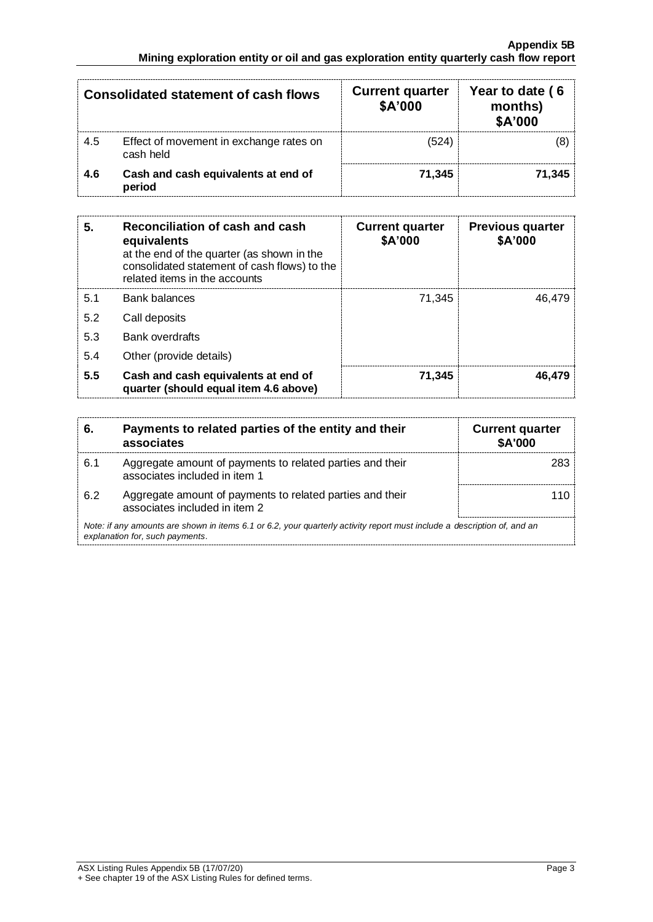|     | <b>Consolidated statement of cash flows</b>          | <b>Current quarter</b><br>\$A'000 | Year to date (6<br>months)<br>\$A'000 |
|-----|------------------------------------------------------|-----------------------------------|---------------------------------------|
| 4.5 | Effect of movement in exchange rates on<br>cash held | (524)                             | (8)                                   |
| 4.6 | Cash and cash equivalents at end of<br>period        | 71,345                            | 71,345                                |

| 5.  | Reconciliation of cash and cash<br>equivalents<br>at the end of the quarter (as shown in the<br>consolidated statement of cash flows) to the<br>related items in the accounts | <b>Current quarter</b><br>\$A'000 | <b>Previous quarter</b><br>\$A'000 |
|-----|-------------------------------------------------------------------------------------------------------------------------------------------------------------------------------|-----------------------------------|------------------------------------|
| 5.1 | <b>Bank balances</b>                                                                                                                                                          | 71.345                            | 46.479                             |
| 5.2 | Call deposits                                                                                                                                                                 |                                   |                                    |
| 5.3 | <b>Bank overdrafts</b>                                                                                                                                                        |                                   |                                    |
| 5.4 | Other (provide details)                                                                                                                                                       |                                   |                                    |
| 5.5 | Cash and cash equivalents at end of<br>quarter (should equal item 4.6 above)                                                                                                  | 71,345                            | 46.479                             |

| 6.  | Payments to related parties of the entity and their<br>associates                                                                                           | <b>Current quarter</b><br><b>\$A'000</b> |  |
|-----|-------------------------------------------------------------------------------------------------------------------------------------------------------------|------------------------------------------|--|
| 6.1 | Aggregate amount of payments to related parties and their<br>associates included in item 1                                                                  | 283                                      |  |
| 6.2 | Aggregate amount of payments to related parties and their<br>associates included in item 2                                                                  | 110                                      |  |
|     | Note: if any amounts are shown in items 6.1 or 6.2, your quarterly activity report must include a description of, and an<br>explanation for, such payments. |                                          |  |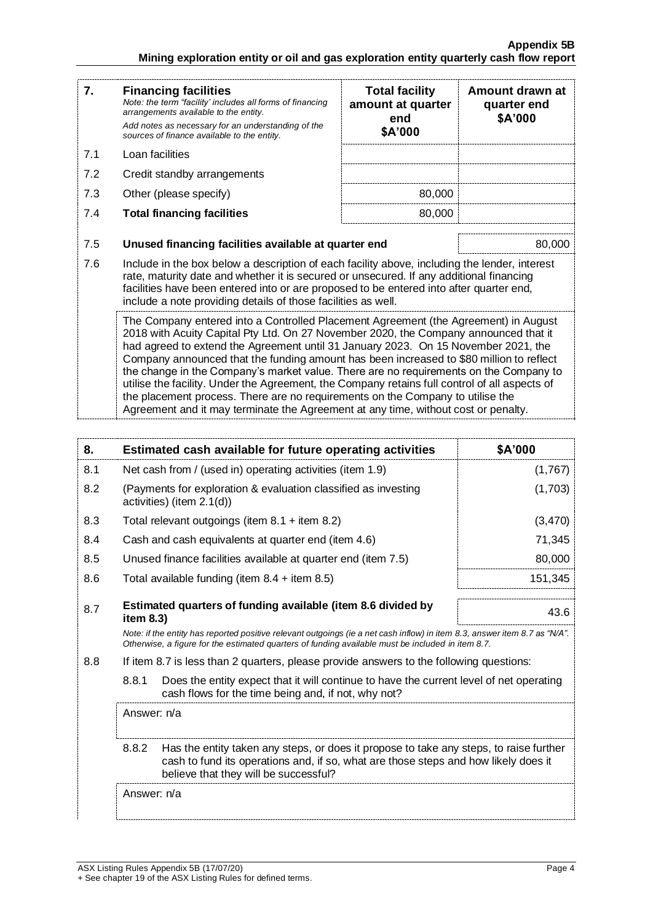#### **Appendix 5B Mining exploration entity or oil and gas exploration entity quarterly cash flow report**

| 7.  | <b>Financing facilities</b><br>Note: the term "facility' includes all forms of financing<br>arrangements available to the entity.<br>Add notes as necessary for an understanding of the<br>sources of finance available to the entity.                                                                                                                                                                                                                                                                                                                                                                                                                                                                                         | <b>Total facility</b><br>amount at quarter<br>end<br>\$A'000   | Amount drawn at<br>quarter end<br>\$A'000 |  |  |
|-----|--------------------------------------------------------------------------------------------------------------------------------------------------------------------------------------------------------------------------------------------------------------------------------------------------------------------------------------------------------------------------------------------------------------------------------------------------------------------------------------------------------------------------------------------------------------------------------------------------------------------------------------------------------------------------------------------------------------------------------|----------------------------------------------------------------|-------------------------------------------|--|--|
| 7.1 | Loan facilities                                                                                                                                                                                                                                                                                                                                                                                                                                                                                                                                                                                                                                                                                                                |                                                                |                                           |  |  |
| 7.2 | Credit standby arrangements                                                                                                                                                                                                                                                                                                                                                                                                                                                                                                                                                                                                                                                                                                    |                                                                |                                           |  |  |
| 7.3 | Other (please specify)                                                                                                                                                                                                                                                                                                                                                                                                                                                                                                                                                                                                                                                                                                         | 80,000                                                         |                                           |  |  |
| 7.4 | <b>Total financing facilities</b>                                                                                                                                                                                                                                                                                                                                                                                                                                                                                                                                                                                                                                                                                              | 80,000                                                         |                                           |  |  |
| 7.5 |                                                                                                                                                                                                                                                                                                                                                                                                                                                                                                                                                                                                                                                                                                                                | Unused financing facilities available at quarter end<br>80,000 |                                           |  |  |
| 7.6 | Include in the box below a description of each facility above, including the lender, interest<br>rate, maturity date and whether it is secured or unsecured. If any additional financing<br>facilities have been entered into or are proposed to be entered into after quarter end,<br>include a note providing details of those facilities as well.                                                                                                                                                                                                                                                                                                                                                                           |                                                                |                                           |  |  |
|     | The Company entered into a Controlled Placement Agreement (the Agreement) in August<br>2018 with Acuity Capital Pty Ltd. On 27 November 2020, the Company announced that it<br>had agreed to extend the Agreement until 31 January 2023. On 15 November 2021, the<br>Company announced that the funding amount has been increased to \$80 million to reflect<br>the change in the Company's market value. There are no requirements on the Company to<br>utilise the facility. Under the Agreement, the Company retains full control of all aspects of<br>the placement process. There are no requirements on the Company to utilise the<br>Agreement and it may terminate the Agreement at any time, without cost or penalty. |                                                                |                                           |  |  |

| 8.  | Estimated cash available for future operating activities                                                                                                                                                                        | \$A'000 |  |  |
|-----|---------------------------------------------------------------------------------------------------------------------------------------------------------------------------------------------------------------------------------|---------|--|--|
| 8.1 | Net cash from / (used in) operating activities (item 1.9)                                                                                                                                                                       | (1,767) |  |  |
| 8.2 | (Payments for exploration & evaluation classified as investing<br>activities) (item 2.1(d))                                                                                                                                     | (1,703) |  |  |
| 8.3 | Total relevant outgoings (item $8.1 +$ item $8.2$ )                                                                                                                                                                             | (3,470) |  |  |
| 8.4 | Cash and cash equivalents at quarter end (item 4.6)                                                                                                                                                                             | 71,345  |  |  |
| 8.5 | Unused finance facilities available at quarter end (item 7.5)                                                                                                                                                                   | 80,000  |  |  |
| 8.6 | Total available funding (item $8.4 +$ item $8.5$ )                                                                                                                                                                              | 151,345 |  |  |
| 8.7 | Estimated quarters of funding available (item 8.6 divided by<br>43.6<br>item 8.3)                                                                                                                                               |         |  |  |
|     | Note: if the entity has reported positive relevant outgoings (ie a net cash inflow) in item 8.3, answer item 8.7 as "N/A".<br>Otherwise, a figure for the estimated quarters of funding available must be included in item 8.7. |         |  |  |
| 8.8 | If item 8.7 is less than 2 quarters, please provide answers to the following questions:                                                                                                                                         |         |  |  |
|     | 8.8.1<br>Does the entity expect that it will continue to have the current level of net operating<br>cash flows for the time being and, if not, why not?                                                                         |         |  |  |
|     | Answer: n/a                                                                                                                                                                                                                     |         |  |  |
|     | 8.8.2<br>Has the entity taken any steps, or does it propose to take any steps, to raise further<br>cash to fund its operations and, if so, what are those steps and how likely does it<br>believe that they will be successful? |         |  |  |
|     | Answer: n/a                                                                                                                                                                                                                     |         |  |  |